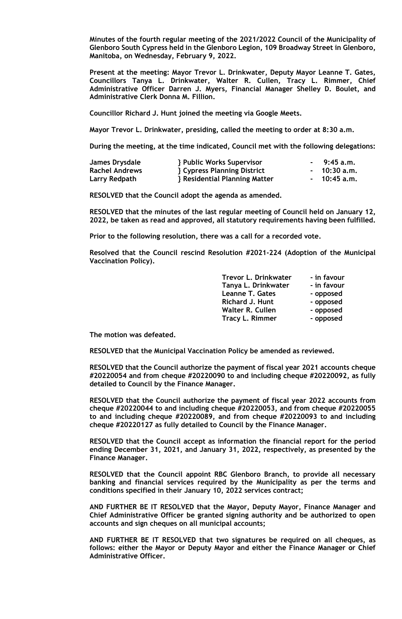**Minutes of the fourth regular meeting of the 2021/2022 Council of the Municipality of Glenboro South Cypress held in the Glenboro Legion, 109 Broadway Street in Glenboro, Manitoba, on Wednesday, February 9, 2022.**

**Present at the meeting: Mayor Trevor L. Drinkwater, Deputy Mayor Leanne T. Gates, Councillors Tanya L. Drinkwater, Walter R. Cullen, Tracy L. Rimmer, Chief Administrative Officer Darren J. Myers, Financial Manager Shelley D. Boulet, and Administrative Clerk Donna M. Fillion.**

**Councillor Richard J. Hunt joined the meeting via Google Meets.**

**Mayor Trevor L. Drinkwater, presiding, called the meeting to order at 8:30 a.m.**

**During the meeting, at the time indicated, Council met with the following delegations:**

| James Drysdale        | <b>} Public Works Supervisor</b>                                                                                                                                                                                                     | $-9:45 a.m.$  |
|-----------------------|--------------------------------------------------------------------------------------------------------------------------------------------------------------------------------------------------------------------------------------|---------------|
| <b>Rachel Andrews</b> | <b>Relative Service Service Service Service Service Service Service Service Service Service Service Service Service Service Service Service Service Service Service Service Service Service Service Service Service Service Serv</b> | - 10:30 a.m.  |
| Larry Redpath         | <b>Residential Planning Matter</b>                                                                                                                                                                                                   | $-10:45$ a.m. |

**RESOLVED that the Council adopt the agenda as amended.**

**RESOLVED that the minutes of the last regular meeting of Council held on January 12, 2022, be taken as read and approved, all statutory requirements having been fulfilled.**

**Prior to the following resolution, there was a call for a recorded vote.**

**Resolved that the Council rescind Resolution #2021-224 (Adoption of the Municipal Vaccination Policy).**

| Trevor L. Drinkwater    | - in favour |
|-------------------------|-------------|
| Tanya L. Drinkwater     | - in favour |
| <b>Leanne T. Gates</b>  | - opposed   |
| <b>Richard J. Hunt</b>  | - opposed   |
| <b>Walter R. Cullen</b> | - opposed   |
| <b>Tracy L. Rimmer</b>  | - opposed   |

**The motion was defeated.**

**RESOLVED that the Municipal Vaccination Policy be amended as reviewed.**

**RESOLVED that the Council authorize the payment of fiscal year 2021 accounts cheque #20220054 and from cheque #20220090 to and including cheque #20220092, as fully detailed to Council by the Finance Manager.**

**RESOLVED that the Council authorize the payment of fiscal year 2022 accounts from cheque #20220044 to and including cheque #20220053, and from cheque #20220055 to and including cheque #20220089, and from cheque #20220093 to and including cheque #20220127 as fully detailed to Council by the Finance Manager.**

**RESOLVED that the Council accept as information the financial report for the period ending December 31, 2021, and January 31, 2022, respectively, as presented by the Finance Manager.**

**RESOLVED that the Council appoint RBC Glenboro Branch, to provide all necessary banking and financial services required by the Municipality as per the terms and conditions specified in their January 10, 2022 services contract;**

**AND FURTHER BE IT RESOLVED that the Mayor, Deputy Mayor, Finance Manager and Chief Administrative Officer be granted signing authority and be authorized to open accounts and sign cheques on all municipal accounts;**

**AND FURTHER BE IT RESOLVED that two signatures be required on all cheques, as follows: either the Mayor or Deputy Mayor and either the Finance Manager or Chief Administrative Officer.**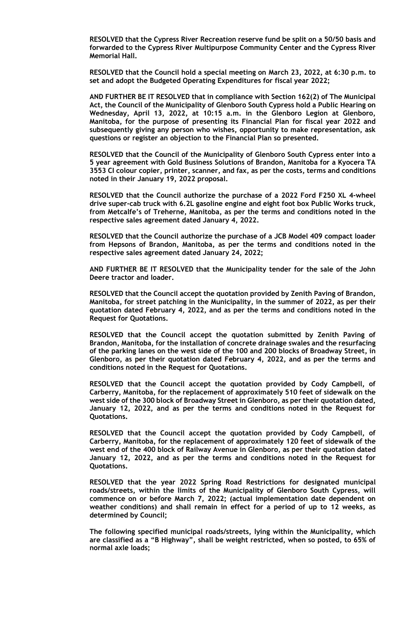**RESOLVED that the Cypress River Recreation reserve fund be split on a 50/50 basis and forwarded to the Cypress River Multipurpose Community Center and the Cypress River Memorial Hall.**

**RESOLVED that the Council hold a special meeting on March 23, 2022, at 6:30 p.m. to set and adopt the Budgeted Operating Expenditures for fiscal year 2022;**

**AND FURTHER BE IT RESOLVED that in compliance with Section 162(2) of The Municipal Act, the Council of the Municipality of Glenboro South Cypress hold a Public Hearing on Wednesday, April 13, 2022, at 10:15 a.m. in the Glenboro Legion at Glenboro, Manitoba, for the purpose of presenting its Financial Plan for fiscal year 2022 and subsequently giving any person who wishes, opportunity to make representation, ask questions or register an objection to the Financial Plan so presented.**

**RESOLVED that the Council of the Municipality of Glenboro South Cypress enter into a 5 year agreement with Gold Business Solutions of Brandon, Manitoba for a Kyocera TA 3553 CI colour copier, printer, scanner, and fax, as per the costs, terms and conditions noted in their January 19, 2022 proposal.**

**RESOLVED that the Council authorize the purchase of a 2022 Ford F250 XL 4-wheel drive super-cab truck with 6.2L gasoline engine and eight foot box Public Works truck, from Metcalfe's of Treherne, Manitoba, as per the terms and conditions noted in the respective sales agreement dated January 4, 2022.**

**RESOLVED that the Council authorize the purchase of a JCB Model 409 compact loader from Hepsons of Brandon, Manitoba, as per the terms and conditions noted in the respective sales agreement dated January 24, 2022;**

**AND FURTHER BE IT RESOLVED that the Municipality tender for the sale of the John Deere tractor and loader.** 

**RESOLVED that the Council accept the quotation provided by Zenith Paving of Brandon, Manitoba, for street patching in the Municipality, in the summer of 2022, as per their quotation dated February 4, 2022, and as per the terms and conditions noted in the Request for Quotations.**

**RESOLVED that the Council accept the quotation submitted by Zenith Paving of Brandon, Manitoba, for the installation of concrete drainage swales and the resurfacing of the parking lanes on the west side of the 100 and 200 blocks of Broadway Street, in Glenboro, as per their quotation dated February 4, 2022, and as per the terms and conditions noted in the Request for Quotations.**

**RESOLVED that the Council accept the quotation provided by Cody Campbell, of Carberry, Manitoba, for the replacement of approximately 510 feet of sidewalk on the west side of the 300 block of Broadway Street in Glenboro, as per their quotation dated, January 12, 2022, and as per the terms and conditions noted in the Request for Quotations.**

**RESOLVED that the Council accept the quotation provided by Cody Campbell, of Carberry, Manitoba, for the replacement of approximately 120 feet of sidewalk of the west end of the 400 block of Railway Avenue in Glenboro, as per their quotation dated January 12, 2022, and as per the terms and conditions noted in the Request for Quotations.**

**RESOLVED that the year 2022 Spring Road Restrictions for designated municipal roads/streets, within the limits of the Municipality of Glenboro South Cypress, will commence on or before March 7, 2022; (actual implementation date dependent on weather conditions) and shall remain in effect for a period of up to 12 weeks, as determined by Council;**

**The following specified municipal roads/streets, lying within the Municipality, which are classified as a "B Highway", shall be weight restricted, when so posted, to 65% of normal axle loads;**